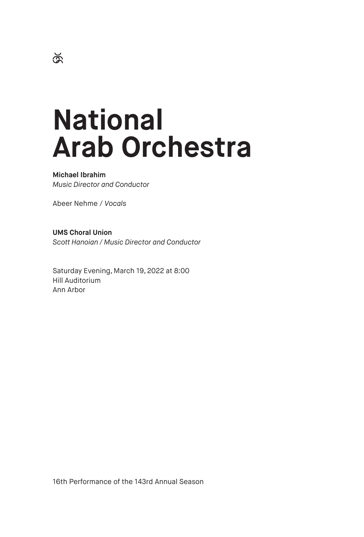# **National Arab Orchestra**

# **Michael Ibrahim**

*Music Director and Conductor*

Abeer Nehme / *Vocals*

**UMS Choral Union** *Scott Hanoian / Music Director and Conductor*

Saturday Evening, March 19, 2022 at 8:00 Hill Auditorium Ann Arbor

16th Performance of the 143rd Annual Season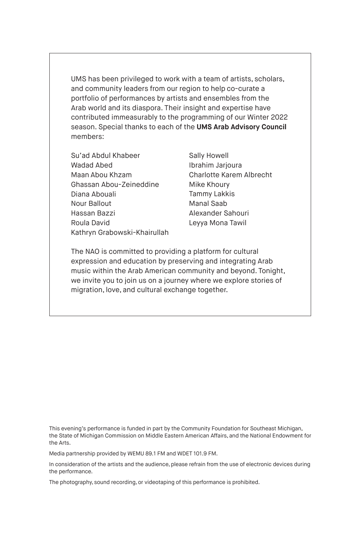UMS has been privileged to work with a team of artists, scholars, and community leaders from our region to help co-curate a portfolio of performances by artists and ensembles from the Arab world and its diaspora. Their insight and expertise have contributed immeasurably to the programming of our Winter 2022 season. Special thanks to each of the **UMS Arab Advisory Council** members:

Su'ad Abdul Khabeer Wadad Abed Maan Abou Khzam Ghassan Abou-Zeineddine Diana Abouali Nour Ballout Hassan Bazzi Roula David Kathryn Grabowski-Khairullah

Sally Howell Ibrahim Jarjoura Charlotte Karem Albrecht Mike Khoury Tammy Lakkis Manal Saab Alexander Sahouri Leyya Mona Tawil

The NAO is committed to providing a platform for cultural expression and education by preserving and integrating Arab music within the Arab American community and beyond. Tonight, we invite you to join us on a journey where we explore stories of migration, love, and cultural exchange together.

This evening's performance is funded in part by the Community Foundation for Southeast Michigan, the State of Michigan Commission on Middle Eastern American Affairs, and the National Endowment for the Arts.

Media partnership provided by WEMU 89.1 FM and WDET 101.9 FM.

In consideration of the artists and the audience, please refrain from the use of electronic devices during the performance.

The photography, sound recording, or videotaping of this performance is prohibited.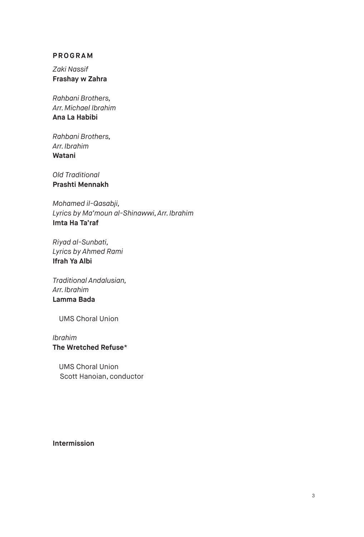# **PROGRAM**

*Zaki Nassif* **Frashay w Zahra** 

*Rahbani Brothers, Arr. Michael Ibrahim* **Ana La Habibi**

*Rahbani Brothers, Arr. Ibrahim*  **Watani** 

*Old Traditional* **Prashti Mennakh**

*Mohamed il-Qasabji, Lyrics by Ma'moun al-Shinawwi, Arr. Ibrahim* **Imta Ha Ta'raf**

*Riyad al-Sunbati, Lyrics by Ahmed Rami* **Ifrah Ya Albi**

*Traditional Andalusian, Arr. Ibrahim* **Lamma Bada**

UMS Choral Union

# *Ibrahim*  **The Wretched Refuse**\*

UMS Choral Union Scott Hanoian, conductor

**Intermission**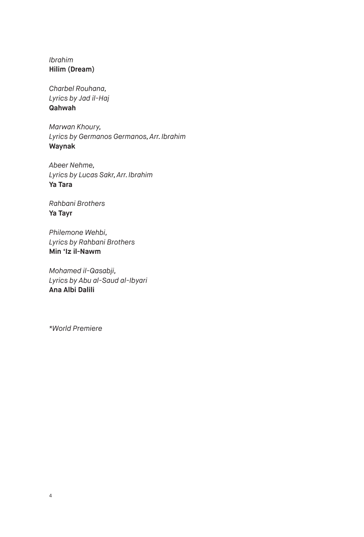*Ibrahim* **Hilim (Dream)**

*Charbel Rouhana, Lyrics by Jad il-Haj* **Qahwah**

*Marwan Khoury, Lyrics by Germanos Germanos, Arr. Ibrahim* **Waynak**

*Abeer Nehme, Lyrics by Lucas Sakr, Arr. Ibrahim* **Ya Tara**

*Rahbani Brothers* **Ya Tayr**

*Philemone Wehbi, Lyrics by Rahbani Brothers* **Min 'Iz il-Nawm**

*Mohamed il-Qasabji, Lyrics by Abu al-Saud al-Ibyari* **Ana Albi Dalili**

*\*World Premiere*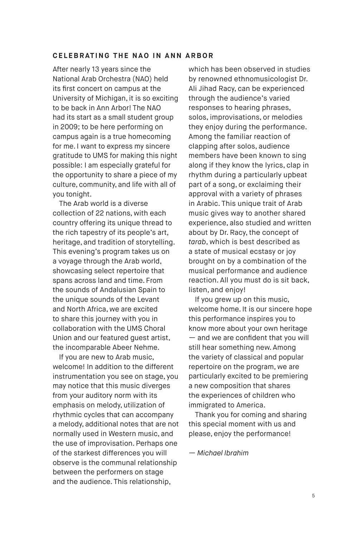### **CELEBRATING THE NAO IN ANN ARBOR**

After nearly 13 years since the National Arab Orchestra (NAO) held its first concert on campus at the University of Michigan, it is so exciting to be back in Ann Arbor! The NAO had its start as a small student group in 2009; to be here performing on campus again is a true homecoming for me. I want to express my sincere gratitude to UMS for making this night possible: I am especially grateful for the opportunity to share a piece of my culture, community, and life with all of you tonight.

The Arab world is a diverse collection of 22 nations, with each country offering its unique thread to the rich tapestry of its people's art, heritage, and tradition of storytelling. This evening's program takes us on a voyage through the Arab world, showcasing select repertoire that spans across land and time. From the sounds of Andalusian Spain to the unique sounds of the Levant and North Africa, we are excited to share this journey with you in collaboration with the UMS Choral Union and our featured guest artist, the incomparable Abeer Nehme.

If you are new to Arab music, welcome! In addition to the different instrumentation you see on stage, you may notice that this music diverges from your auditory norm with its emphasis on melody, utilization of rhythmic cycles that can accompany a melody, additional notes that are not normally used in Western music, and the use of improvisation. Perhaps one of the starkest differences you will observe is the communal relationship between the performers on stage and the audience. This relationship,

which has been observed in studies by renowned ethnomusicologist Dr. Ali Jihad Racy, can be experienced through the audience's varied responses to hearing phrases, solos, improvisations, or melodies they enjoy during the performance. Among the familiar reaction of clapping after solos, audience members have been known to sing along if they know the lyrics, clap in rhythm during a particularly upbeat part of a song, or exclaiming their approval with a variety of phrases in Arabic. This unique trait of Arab music gives way to another shared experience, also studied and written about by Dr. Racy, the concept of *tarab*, which is best described as a state of musical ecstasy or joy brought on by a combination of the musical performance and audience reaction. All you must do is sit back, listen, and enjoy!

If you grew up on this music, welcome home. It is our sincere hope this performance inspires you to know more about your own heritage — and we are confident that you will still hear something new. Among the variety of classical and popular repertoire on the program, we are particularly excited to be premiering a new composition that shares the experiences of children who immigrated to America.

Thank you for coming and sharing this special moment with us and please, enjoy the performance!

*— Michael Ibrahim*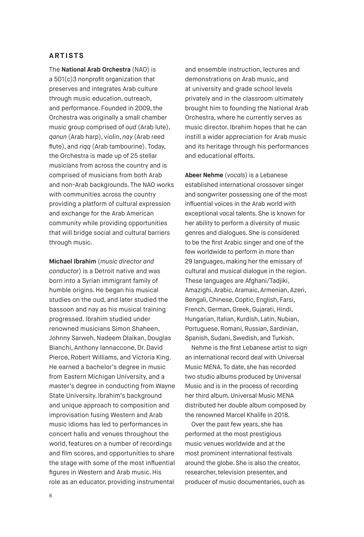## **ARTISTS**

The **National Arab Orchestra** (NAO) is a 501(c)3 nonprofit organization that preserves and integrates Arab culture through music education, outreach, and performance. Founded in 2009, the Orchestra was originally a small chamber music group comprised of *oud* (Arab lute), *qanun* (Arab harp), violin, *nay* (Arab reed flute), and *riqq* (Arab tambourine). Today, the Orchestra is made up of 25 stellar musicians from across the country and is comprised of musicians from both Arab and non-Arab backgrounds. The NAO works with communities across the country providing a platform of cultural expression and exchange for the Arab American community while providing opportunities that will bridge social and cultural barriers through music.

**Michael Ibrahim** (*music director and conductor*) is a Detroit native and was born into a Syrian immigrant family of humble origins. He began his musical studies on the oud, and later studied the bassoon and nay as his musical training progressed. Ibrahim studied under renowned musicians Simon Shaheen, Johnny Sarweh, Nadeem Dlaikan, Douglas Bianchi, Anthony Iannaccone, Dr. David Pierce, Robert Williams, and Victoria King. He earned a bachelor's degree in music from Eastern Michigan University, and a master's degree in conducting from Wayne State University. Ibrahim's background and unique approach to composition and improvisation fusing Western and Arab music idioms has led to performances in concert halls and venues throughout the world, features on a number of recordings and film scores, and opportunities to share the stage with some of the most influential figures in Western and Arab music. His role as an educator, providing instrumental

and ensemble instruction, lectures and demonstrations on Arab music, and at university and grade school levels privately and in the classroom ultimately brought him to founding the National Arab Orchestra, where he currently serves as music director. Ibrahim hopes that he can instill a wider appreciation for Arab music and its heritage through his performances and educational efforts.

**Abeer Nehme** (*vocals*) is a Lebanese established international crossover singer and songwriter possessing one of the most influential voices in the Arab world with exceptional vocal talents. She is known for her ability to perform a diversity of music genres and dialogues. She is considered to be the first Arabic singer and one of the few worldwide to perform in more than 29 languages, making her the emissary of cultural and musical dialogue in the region. These languages are Afghani/Tadjiki, Amazighi, Arabic, Aramaic, Armenian, Azeri, Bengali, Chinese, Coptic, English, Farsi, French, German, Greek, Gujarati, Hindi, Hungarian, Italian, Kurdish, Latin, Nubian, Portuguese, Romani, Russian, Sardinian, Spanish, Sudani, Swedish, and Turkish.

Nehme is the first Lebanese artist to sign an international record deal with Universal Music MENA. To date, she has recorded two studio albums produced by Universal Music and is in the process of recording her third album. Universal Music MENA distributed her double album composed by the renowned Marcel Khalife in 2018.

Over the past few years, she has performed at the most prestigious music venues worldwide and at the most prominent international festivals around the globe. She is also the creator, researcher, television presenter, and producer of music documentaries, such as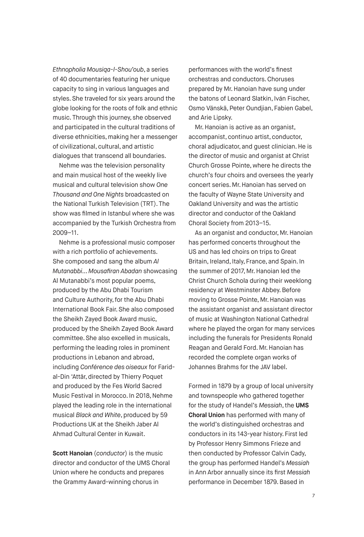*Ethnopholia Mousiqa-l-Shou'oub*, a series of 40 documentaries featuring her unique capacity to sing in various languages and styles. She traveled for six years around the globe looking for the roots of folk and ethnic music. Through this journey, she observed and participated in the cultural traditions of diverse ethnicities, making her a messenger of civilizational, cultural, and artistic dialogues that transcend all boundaries.

Nehme was the television personality and main musical host of the weekly live musical and cultural television show *One Thousand and One Nights* broadcasted on the National Turkish Television (TRT). The show was filmed in Istanbul where she was accompanied by the Turkish Orchestra from 2009–11.

Nehme is a professional music composer with a rich portfolio of achievements. She composed and sang the album *Al Mutanabbi... Mousafiran Abadan* showcasing Al Mutanabbi's most popular poems, produced by the Abu Dhabi Tourism and Culture Authority, for the Abu Dhabi International Book Fair. She also composed the Sheikh Zayed Book Award music, produced by the Sheikh Zayed Book Award committee. She also excelled in musicals, performing the leading roles in prominent productions in Lebanon and abroad, including *Conférence des oiseaux* for Faridal-Din 'Attâr, directed by Thierry Poquet and produced by the Fes World Sacred Music Festival in Morocco. In 2018, Nehme played the leading role in the international musical *Black and White*, produced by 59 Productions UK at the Sheikh Jaber Al Ahmad Cultural Center in Kuwait.

**Scott Hanoian** (*conductor*) is the music director and conductor of the UMS Choral Union where he conducts and prepares the Grammy Award-winning chorus in

performances with the world's finest orchestras and conductors. Choruses prepared by Mr. Hanoian have sung under the batons of Leonard Slatkin, Iván Fischer, Osmo Vänskä, Peter Oundjian, Fabien Gabel, and Arie Lipsky.

Mr. Hanoian is active as an organist, accompanist, continuo artist, conductor, choral adjudicator, and guest clinician. He is the director of music and organist at Christ Church Grosse Pointe, where he directs the church's four choirs and oversees the yearly concert series. Mr. Hanoian has served on the faculty of Wayne State University and Oakland University and was the artistic director and conductor of the Oakland Choral Society from 2013–15.

As an organist and conductor, Mr. Hanoian has performed concerts throughout the US and has led choirs on trips to Great Britain, Ireland, Italy, France, and Spain. In the summer of 2017, Mr. Hanoian led the Christ Church Schola during their weeklong residency at Westminster Abbey. Before moving to Grosse Pointe, Mr. Hanoian was the assistant organist and assistant director of music at Washington National Cathedral where he played the organ for many services including the funerals for Presidents Ronald Reagan and Gerald Ford. Mr. Hanoian has recorded the complete organ works of Johannes Brahms for the JAV label.

Formed in 1879 by a group of local university and townspeople who gathered together for the study of Handel's *Messiah*, the **UMS Choral Union** has performed with many of the world's distinguished orchestras and conductors in its 143-year history. First led by Professor Henry Simmons Frieze and then conducted by Professor Calvin Cady, the group has performed Handel's *Messiah* in Ann Arbor annually since its first *Messiah* performance in December 1879. Based in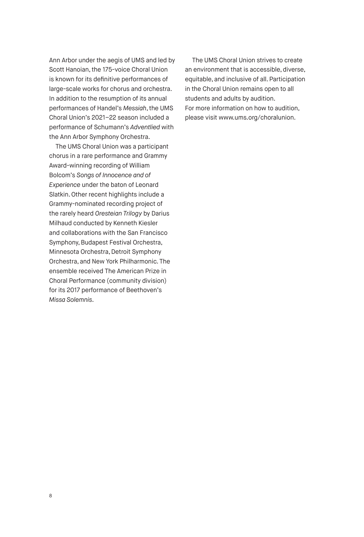Ann Arbor under the aegis of UMS and led by Scott Hanoian, the 175-voice Choral Union is known for its definitive performances of large-scale works for chorus and orchestra. In addition to the resumption of its annual performances of Handel's *Messiah*, the UMS Choral Union's 2021–22 season included a performance of Schumann's *Adventlied* with the Ann Arbor Symphony Orchestra.

The UMS Choral Union was a participant chorus in a rare performance and Grammy Award-winning recording of William Bolcom's *Songs of Innocence and of Experience* under the baton of Leonard Slatkin. Other recent highlights include a Grammy-nominated recording project of the rarely heard *Oresteian Trilogy* by Darius Milhaud conducted by Kenneth Kiesler and collaborations with the San Francisco Symphony, Budapest Festival Orchestra, Minnesota Orchestra, Detroit Symphony Orchestra, and New York Philharmonic. The ensemble received The American Prize in Choral Performance (community division) for its 2017 performance of Beethoven's *Missa Solemnis*.

The UMS Choral Union strives to create an environment that is accessible, diverse, equitable, and inclusive of all. Participation in the Choral Union remains open to all students and adults by audition. For more information on how to audition, please visit www.ums.org/choralunion.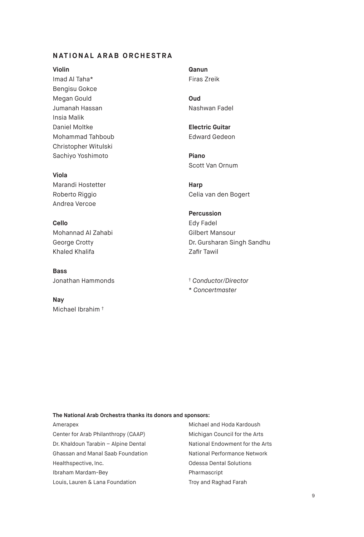# **NATIONAL ARAB ORCHESTRA**

#### **Violin**

Imad Al Taha\* Bengisu Gokce Megan Gould Jumanah Hassan Insia Malik Daniel Moltke Mohammad Tahboub Christopher Witulski Sachiyo Yoshimoto

#### **Viola**

Marandi Hostetter Roberto Riggio Andrea Vercoe

**Cello** Mohannad Al Zahabi George Crotty Khaled Khalifa

**Bass** Jonathan Hammonds

**Nay** Michael Ibrahim † **Qanun** Firas Zreik

**Oud** Nashwan Fadel

**Electric Guitar** Edward Gedeon

**Piano** Scott Van Ornum

**Harp** Celia van den Bogert

**Percussion** Edy Fadel Gilbert Mansour Dr. Gursharan Singh Sandhu Zafir Tawil

† *Conductor/Director* \* *Concertmaster*

#### **The National Arab Orchestra thanks its donors and sponsors:**

Amerapex Center for Arab Philanthropy (CAAP) Dr. Khaldoun Tarabin – Alpine Dental Ghassan and Manal Saab Foundation Healthspective, Inc. Ibraham Mardam-Bey Louis, Lauren & Lana Foundation

Michael and Hoda Kardoush Michigan Council for the Arts National Endowment for the Arts National Performance Network Odessa Dental Solutions Pharmascript Troy and Raghad Farah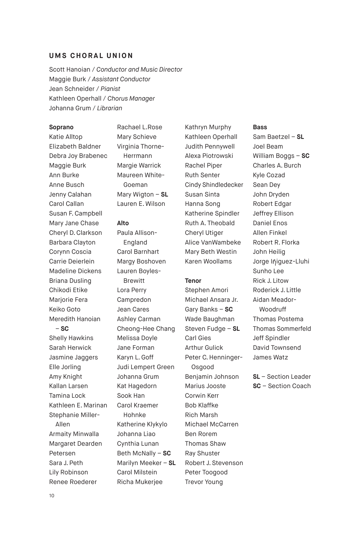#### **UMS CHORAL UNION**

Scott Hanoian / *Conductor and Music Director* Maggie Burk / *Assistant Conductor* Jean Schneider / *Pianist* Kathleen Operhall / *Chorus Manager* Johanna Grum / *Librarian*

#### **Soprano**

Katie Alltop Elizabeth Baldner Debra Joy Brabenec Maggie Burk Ann Burke Anne Busch Jenny Calahan Carol Callan Susan F. Campbell Mary Jane Chase Cheryl D. Clarkson Barbara Clayton Corynn Coscia Carrie Deierlein Madeline Dickens Briana Dusling Chikodi Etike Marjorie Fera Keiko Goto Meredith Hanoian – **SC** Shelly Hawkins Sarah Herwick Jasmine Jaggers Elle Jorling Amy Knight Kallan Larsen Tamina Lock Kathleen E. Marinan Stephanie Miller-Allen Armaity Minwalla Margaret Dearden

Petersen Sara J. Peth Lily Robinson Renee Roederer

Rachael L.Rose Mary Schieve Virginia Thorne-Herrmann Margie Warrick Maureen White-Goeman Mary Wigton – **SL**  Lauren E. Wilson

#### **Alto**

Paula Allison-England Carol Barnhart Margy Boshoven Lauren Boyles-Brewitt Lora Perry Campredon Jean Cares Ashley Carman Cheong-Hee Chang Melissa Doyle Jane Forman Karyn L. Goff Judi Lempert Green Johanna Grum Kat Hagedorn Sook Han Carol Kraemer Hohnke Katherine Klykylo Johanna Liao Cynthia Lunan Beth McNally – **SC**  Marilyn Meeker – **SL**  Carol Milstein Richa Mukerjee

Kathryn Murphy Kathleen Operhall Judith Pennywell Alexa Piotrowski Rachel Piper Ruth Senter Cindy Shindledecker Susan Sinta Hanna Song Katherine Spindler Ruth A. Theobald Cheryl Utiger Alice VanWambeke Mary Beth Westin Karen Woollams

#### **Tenor**

Stephen Amori Michael Ansara Jr. Gary Banks – **SC**  Wade Baughman Steven Fudge – **SL**  Carl Gies Arthur Gulick Peter C. Henninger-Osgood Benjamin Johnson Marius Jooste Corwin Kerr Bob Klaffke Rich Marsh Michael McCarren Ben Rorem Thomas Shaw Ray Shuster Robert J. Stevenson Peter Toogood Trevor Young

#### **Bass**

Sam Baetzel – **SL**  Joel Beam William Boggs – **SC** Charles A. Burch Kyle Cozad Sean Dey John Dryden Robert Edgar Jeffrey Ellison Daniel Enos Allen Finkel Robert R. Florka John Heilig Jorge Iñiguez-Lluhi Sunho Lee Rick J. Litow Roderick J. Little Aidan Meador-Woodruff Thomas Postema Thomas Sommerfeld Jeff Spindler David Townsend James Watz

**SL** – Section Leader **SC** – Section Coach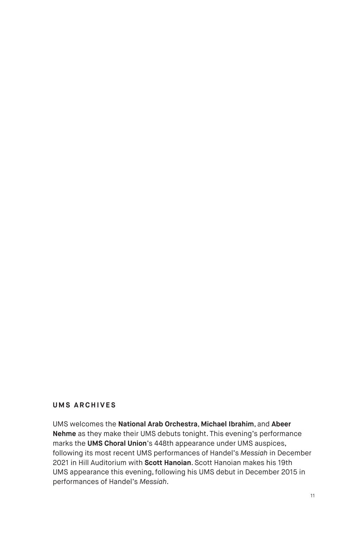# **UMS ARCHIVES**

UMS welcomes the **National Arab Orchestra**, **Michael Ibrahim**, and **Abeer Nehme** as they make their UMS debuts tonight. This evening's performance marks the **UMS Choral Union**'s 448th appearance under UMS auspices, following its most recent UMS performances of Handel's *Messiah* in December 2021 in Hill Auditorium with **Scott Hanoian**. Scott Hanoian makes his 19th UMS appearance this evening, following his UMS debut in December 2015 in performances of Handel's *Messiah*.